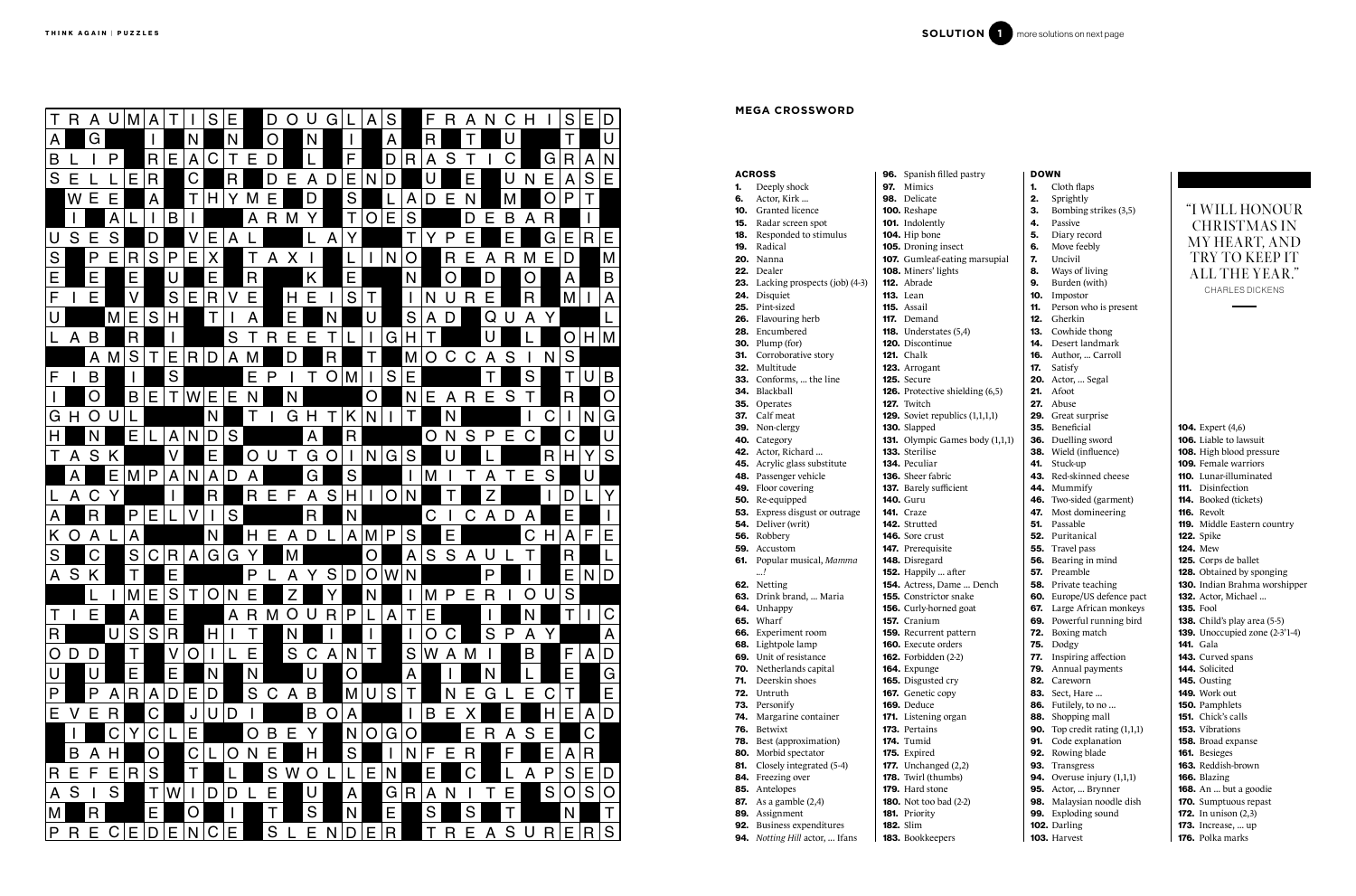|     | <b>ACROSS</b>                               | <b>96.</b> Spanish filled pastry                 | <b>DOWN</b> |                                        |                                                         |
|-----|---------------------------------------------|--------------------------------------------------|-------------|----------------------------------------|---------------------------------------------------------|
| 1.  | Deeply shock                                | Mimics<br>97.                                    | 1.          | Cloth flaps                            |                                                         |
| 6.  | Actor, Kirk                                 | 98. Delicate                                     | 2.          | Sprightly                              |                                                         |
| 10. | Granted licence                             | 100. Reshape                                     | 3.          | Bombing strikes (3,5)                  | "I WILL HONOUR                                          |
| 15. | Radar screen spot                           | <b>101.</b> Indolently                           | 4.          | Passive                                | <b>CHRISTMAS IN</b>                                     |
| 18. | Responded to stimulus                       | 104. Hip bone                                    | 5.          | Diary record                           |                                                         |
| 19. | Radical                                     | 105. Droning insect                              | 6.          | Move feebly                            | MY HEART, AND                                           |
|     | <b>20.</b> Nanna                            | 107. Gumleaf-eating marsupial                    | 7.          | Uncivil                                | TRY TO KEEP IT                                          |
|     | 22. Dealer                                  | <b>108.</b> Miners' lights                       | 8.          | Ways of living                         | <b>ALL THE YEAR."</b>                                   |
|     | <b>23.</b> Lacking prospects (job) (4-3)    | <b>112.</b> Abrade                               | 9.          | Burden (with)                          |                                                         |
|     | 24. Disquiet                                | <b>113.</b> Lean                                 | 10.         | Impostor                               | <b>CHARLES DICKENS</b>                                  |
|     | 25. Pint-sized                              | <b>115.</b> Assail                               | 11.         | Person who is present                  |                                                         |
|     | <b>26.</b> Flavouring herb                  | <b>117.</b> Demand                               | 12.         | Gherkin                                |                                                         |
|     | 28. Encumbered                              | <b>118.</b> Understates $(5,4)$                  | 13.         | Cowhide thong                          |                                                         |
|     | <b>30.</b> Plump (for)                      | 120. Discontinue                                 | 14.         | Desert landmark                        |                                                         |
| 31. | Corroborative story                         | <b>121.</b> Chalk                                | 16.         | Author,  Carroll                       |                                                         |
|     | 32. Multitude                               | 123. Arrogant                                    | 17.         | Satisfy                                |                                                         |
|     | 33. Conforms,  the line                     | 125. Secure                                      |             | <b>20.</b> Actor,  Segal               |                                                         |
|     | 34. Blackball                               | <b>126.</b> Protective shielding (6,5)           | 21.         | Afoot                                  |                                                         |
|     | <b>35.</b> Operates                         | 127. Twitch                                      | 27.         | Abuse                                  |                                                         |
| 37. | Calf meat                                   | <b>129.</b> Soviet republics $(1,1,1,1)$         | 29.         | Great surprise                         |                                                         |
|     | 39. Non-clergy                              | 130. Slapped                                     | 35.         | Beneficial                             | <b>104.</b> Expert (4,6)                                |
|     | 40. Category                                | <b>131.</b> Olympic Games body $(1,1,1)$         | 36.         | Duelling sword                         | <b>106.</b> Liable to lawsuit                           |
|     | 42. Actor, Richard                          | 133. Sterilise                                   | 38.         | Wield (influence)                      | 108. High blood pressure<br><b>109.</b> Female warriors |
|     | 45. Acrylic glass substitute                | <b>134.</b> Peculiar<br><b>136.</b> Sheer fabric | 41.         | Stuck-up                               |                                                         |
|     | 48. Passenger vehicle<br>49. Floor covering |                                                  |             | 43. Red-skinned cheese<br>44. Mummify  | 110. Lunar-illuminated<br><b>111.</b> Disinfection      |
|     | 50. Re-equipped                             | 137. Barely sufficient<br><b>140.</b> Guru       |             | 46. Two-sided (garment)                |                                                         |
|     | <b>53.</b> Express disgust or outrage       | <b>141.</b> Craze                                | 47.         | Most domineering                       | <b>114.</b> Booked (tickets)<br><b>116.</b> Revolt      |
|     | <b>54.</b> Deliver (writ)                   | <b>142.</b> Strutted                             | 51.         | Passable                               | 119. Middle Eastern country                             |
|     | 56. Robbery                                 | <b>146.</b> Sore crust                           | 52.         | Puritanical                            | <b>122.</b> Spike                                       |
| 59. | Accustom                                    | 147. Prerequisite                                | 55.         | Travel pass                            | <b>124.</b> Mew                                         |
| 61. | Popular musical, Mamma                      | 148. Disregard                                   | 56.         | Bearing in mind                        | <b>125.</b> Corps de ballet                             |
|     | !                                           | 152. Happily  after                              | 57.         | Preamble                               | 128. Obtained by sponging                               |
|     | 62. Netting                                 | 154. Actress, Dame  Dench                        | 58.         | Private teaching                       | 130. Indian Brahma worshipper                           |
|     | 63. Drink brand,  Maria                     | <b>155.</b> Constrictor snake                    |             | 60. Europe/US defence pact             | 132. Actor, Michael                                     |
|     | 64. Unhappy                                 | <b>156.</b> Curly-horned goat                    |             | 67. Large African monkeys              | <b>135.</b> Fool                                        |
|     | <b>65.</b> Wharf                            | 157. Cranium                                     |             | 69. Powerful running bird              | <b>138.</b> Child's play area (5-5)                     |
|     | 66. Experiment room                         | <b>159.</b> Recurrent pattern                    |             | <b>72.</b> Boxing match                | <b>139.</b> Unoccupied zone (2-3'1-4)                   |
|     | 68. Lightpole lamp                          | <b>160.</b> Execute orders                       |             | $75.$ Dodgy                            | <b>141.</b> Gala                                        |
|     | 69. Unit of resistance                      | <b>162.</b> Forbidden (2-2)                      | 77.         | Inspiring affection                    | 143. Curved spans                                       |
|     | 70. Netherlands capital                     | 164. Expunge                                     | 79.         | Annual payments                        | 144. Solicited                                          |
| 71. | Deerskin shoes                              | 165. Disgusted cry                               |             | 82. Careworn                           | <b>145.</b> Ousting                                     |
|     | 72. Untruth                                 | 167. Genetic copy                                |             | <b>83.</b> Sect, Hare                  | <b>149.</b> Work out                                    |
|     | 73. Personify                               | 169. Deduce                                      |             | 86. Futilely, to no                    | 150. Pamphlets                                          |
|     | 74. Margarine container                     | 171. Listening organ                             |             | 88. Shopping mall                      | <b>151.</b> Chick's calls                               |
|     | 76. Betwixt                                 | 173. Pertains                                    |             | <b>90.</b> Top credit rating $(1,1,1)$ | <b>153.</b> Vibrations                                  |
| 78. | Best (approximation)                        | <b>174.</b> Tumid                                |             | 91. Code explanation                   | 158. Broad expanse                                      |
|     | 80. Morbid spectator                        | <b>175.</b> Expired                              |             | 92. Rowing blade                       | <b>161.</b> Besieges                                    |
| 81. | Closely integrated (5-4)                    | <b>177.</b> Unchanged $(2,2)$                    |             | 93. Transgress                         | 163. Reddish-brown                                      |
|     | 84. Freezing over                           | <b>178.</b> Twirl (thumbs)                       |             | <b>94.</b> Overuse injury $(1,1,1)$    | 166. Blazing                                            |
|     | 85. Antelopes                               | 179. Hard stone                                  |             | 95. Actor,  Brynner                    | <b>168.</b> An  but a goodie                            |
|     | 87. As a gamble $(2,4)$                     | <b>180.</b> Not too bad (2-2)                    |             | 98. Malaysian noodle dish              | <b>170.</b> Sumptuous repast                            |
|     | 89. Assignment                              | 181. Priority                                    |             | 99. Exploding sound                    | <b>172.</b> In unison $(2,3)$                           |
|     | 92. Business expenditures                   | <b>182.</b> Slim                                 |             | 102. Darling                           | <b>173.</b> Increase,  up                               |
|     | 94. Notting Hill actor,  Ifans              | 183. Bookkeepers                                 |             | 103. Harvest                           | 176. Polka marks                                        |

# HONOUR TMAS IN ART, AND ) KEEP IT IE YEAR." ES DICKENS

# THE RESIDENCE CONTROLS IN THE RESIDENCE OF THE RESIDENCE OF THE RESIDENCE OF THE RESIDENCE OF THE RESIDENCE OF THE RESIDENCE OF THE RESIDENCE OF THE RESIDENCE OF THE RESIDENCE OF THE RESIDENCE OF THE RESIDENCE OF THE RESID

## **MEGA CROSSWORD**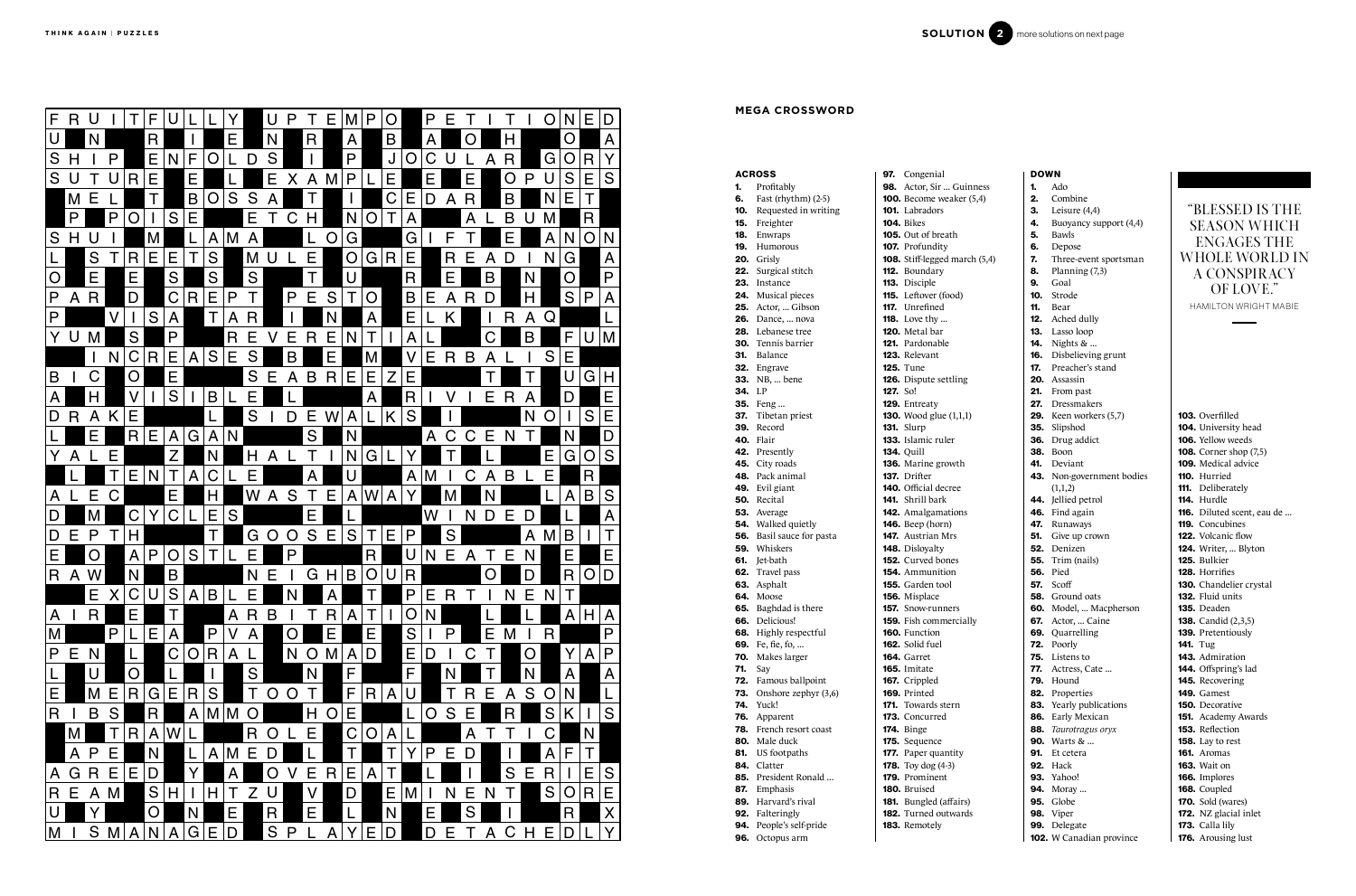103. Overfilled 104. University head 106. Yellow weeds 108. Corner shop (7,5) 109. Medical advice 110. Hurried 111. Deliberately 114. Hurdle 116. Diluted scent, eau de ... 119. Concubines 122. Volcanic flow 124. Writer, ... Blyton 125. Bulkier 128. Horrifies 130. Chandelier crystal 132. Fluid units 135. Deaden 138. Candid (2,3,5) 139. Pretentiously 141. Tug 143. Admiration 144. Offspring's lad 145. Recovering 149. Gamest 150. Decorative 151. Academy Awards 153. Reflection 158. Lay to rest 161. Aromas 163. Wait on 166. Implores 168. Coupled **170.** Sold (wares) 172. NZ glacial inlet 173. Calla lily 176. Arousing lust

|        | <b>ACROSS</b>                             |          | <b>97.</b> Congenial                           |
|--------|-------------------------------------------|----------|------------------------------------------------|
|        | 1. Profitably                             |          | 98. Actor, Sir  Guinn                          |
|        | <b>6.</b> Fast (rhythm) (2-5)             |          | 100. Become weaker (5,                         |
|        | <b>10.</b> Requested in writing           |          | <b>101.</b> Labradors                          |
|        | 15. Freighter                             |          | <b>104.</b> Bikes                              |
|        | 18. Enwraps                               |          | <b>105.</b> Out of breath                      |
|        | 19. Humorous                              |          | 107. Profundity                                |
|        | <b>20.</b> Grisly                         |          | 108. Stiff-legged march                        |
|        | 22. Surgical stitch                       |          | 112. Boundary                                  |
|        | 23. Instance                              |          | 113. Disciple                                  |
|        | 24. Musical pieces                        |          | 115. Leftover (food)                           |
|        | 25. Actor,  Gibson                        |          | 117. Unrefined                                 |
|        | <b>26.</b> Dance,  nova                   |          | <b>118.</b> Love thy                           |
|        | 28. Lebanese tree                         |          | 120. Metal bar                                 |
| 30.    | Tennis barrier                            |          | <b>121.</b> Pardonable                         |
|        | 31. Balance                               |          | 123. Relevant                                  |
|        | 32. Engrave                               |          | <b>125.</b> Tune                               |
|        | <b>33.</b> NB,  bene                      |          | 126. Dispute settling                          |
| 34. LP |                                           | 127. So! |                                                |
|        | <b>35.</b> Feng                           |          | 129. Entreaty                                  |
|        | 37. Tibetan priest                        |          | <b>130.</b> Wood glue (1,1,1)                  |
|        | 39. Record                                |          | <b>131.</b> Slurp                              |
|        | 40. Flair                                 |          | 133. Islamic ruler                             |
|        | 42. Presently                             |          | <b>134. Quill</b>                              |
|        | 45. City roads                            |          | 136. Marine growth                             |
|        | 48. Pack animal                           |          | 137. Drifter                                   |
|        | 49. Evil giant                            |          | 140. Official decree                           |
|        | 50. Recital                               |          | <b>141.</b> Shrill bark                        |
|        | 53. Average                               |          | 142. Amalgamations                             |
|        | 54. Walked quietly                        |          | <b>146.</b> Beep (horn)                        |
|        | 56. Basil sauce for pasta                 |          | <b>147.</b> Austrian Mrs                       |
|        | <b>59.</b> Whiskers                       |          | 148. Disloyalty                                |
|        | 61. Jet-bath                              |          | <b>152.</b> Curved bones                       |
|        | 62. Travel pass                           |          | <b>154.</b> Ammunition                         |
|        | 63. Asphalt                               |          | 155. Garden tool                               |
|        | 64. Moose                                 |          | 156. Misplace                                  |
|        | 65. Baghdad is there                      |          | <b>157.</b> Snow-runners                       |
|        | 66. Delicious!                            |          | 159. Fish commercially<br><b>160.</b> Function |
|        | 68. Highly respectful<br>69. Fe, fie, fo, |          | 162. Solid fuel                                |
| 70.    | Makes larger                              |          | 164. Garret                                    |
| 71.    | Say                                       |          | <b>165.</b> Imitate                            |
| 72.    | Famous ballpoint                          |          | 167. Crippled                                  |
| 73.    | Onshore zephyr (3,6)                      |          | 169. Printed                                   |
| 74.    | Yuck!                                     |          | <b>171.</b> Towards stern                      |
|        | 76. Apparent                              |          | 173. Concurred                                 |
|        | 78. French resort coast                   |          | 174. Binge                                     |
|        | <b>80.</b> Male duck                      |          | 175. Sequence                                  |
|        | 81. US footpaths                          |          | 177. Paper quantity                            |
|        | 84. Clatter                               |          | <b>178.</b> Toy dog (4-3)                      |
|        | 85. President Ronald                      |          | 179. Prominent                                 |
|        | 87. Emphasis                              |          | 180. Bruised                                   |
|        | <b>89.</b> Harvard's rival                |          | <b>181.</b> Bungled (affairs)                  |
|        | 92. Falteringly                           |          | <b>182.</b> Turned outwards                    |
|        | 94. People's self-pride                   |          | 183. Remotely                                  |
| 96.    | Octopus arm                               |          |                                                |
|        |                                           |          |                                                |



DOWN 1. Ado 2. Combine **3.** Leisure (4,4) 4. Buoyancy support (4,4) 5. Bawls 6. Depose 7. Three-event sportsman **8.** Planning (7,3) 9. Goal 10. Strode 11. Bear 12. Ached dully 13. Lasso loop **14.** Nights & ... 16. Disbelieving grunt 17. Preacher's stand 20. Assassin 21. From past 27. Dressmakers **29.** Keen workers (5,7) 35. Slipshod 36. Drug addict **38.** Boon 41. Deviant 43. Non-government bodies  $(1,1,2)$ 44. Jellied petrol 46. Find again 47. Runaways **51.** Give up crown 52. Denizen **55.** Trim (nails) 56. Pied 57. Scoff 58. Ground oats 60. Model, ... Macpherson **67.** Actor, ... Caine 69. Quarrelling 72. Poorly 75. Listens to 77. Actress, Cate ... 79. Hound 82. Properties 83. Yearly publications 86. Early Mexican 88. *Taurotragus oryx* 90. Warts & ... 91. Et cetera **92.** Hack 93. Yahoo! **94.** Moray ... 95. Globe 98. Viper 99. Delegate 102. W Canadian province ... Guinness  $veaker (5,4)$ ed march (5,4)

| F | R |              |              |   | F |   |   |   |   |   | U           | P |   | Е | M           | P | ( ) |             | P | Е  |   |              | I. |   | Ő   | N | Е | D |
|---|---|--------------|--------------|---|---|---|---|---|---|---|-------------|---|---|---|-------------|---|-----|-------------|---|----|---|--------------|----|---|-----|---|---|---|
| U |   | N            |              |   | R |   |   |   | Ε |   | N           |   | R |   | A           |   | B   |             | A |    | O |              | H  |   |     | Ő |   | A |
| S | H |              | P            |   | Ε | N | F |   |   | D | S           |   |   |   | P           |   | J   | O           | C | U  |   | A            | R  |   | G   | Ő | R | Y |
| S | U | Τ            |              | R | Ε |   | Ε |   |   |   | Ε           | X | A | M | P           |   | Ε   |             | Е |    | Ε |              | O  | P | U   | S | Ε | S |
|   | M | Ε            |              |   | T |   | B | O | S | S | A           |   | Τ |   |             |   | C   | Ε           | D | A  | R |              | B  |   | N   | Е | T |   |
|   | P |              | $\mathsf{P}$ | Ő |   | S | Е |   |   | Е |             | C | H |   | N           |   | Т   | A           |   |    | A |              | B  | U | M   |   | R |   |
| S | H | U            |              |   | М |   |   | A | M | A |             |   |   | Ő | G           |   |     | G           |   | F  |   |              | Е  |   | A   | N | Ő | N |
|   |   | S            |              | R | Ε | Ε | T | S |   | M | U           |   | Е |   | Ő           | G | R   | Ε           |   | R  | Ε | A            | D  |   | N   | G |   | A |
| O |   | Ε            |              | Е |   | S |   | S |   | S |             |   | T |   | U           |   |     | R           |   | Ε  |   | B            |    | N |     | O |   | P |
| P | A | $\mathsf{R}$ |              | D |   | C | R | Ε | P | Т |             | P | Е | S | T           | O |     | B           | Ε | A  | R | D            |    | H |     | S | P | A |
| P |   |              | V            |   | S | A |   | T | A | R |             |   |   | N |             | A |     | Ε           |   | K  |   | $\mathbf{I}$ | R  | A | Q   |   |   |   |
|   |   | M            |              | S |   | P |   |   | R | Ε |             | Ε | R | Ε | N           | Τ |     | A           |   |    |   | С            |    | B |     | F | U | M |
|   |   |              | N            | C | R | Е | A | S | Е | S |             | B |   | Е |             | M |     | V           | Е | R. | B | A            |    |   | S   | Е |   |   |
| B |   | С            |              | O |   | Е |   |   |   | S | Ε           | A | B | R | Ε           | Ε | Z   | Ε           |   |    |   | Т            |    | T |     | U | G | H |
| Α |   | Н            |              | V |   | S |   | B |   | Ε |             |   |   |   |             | A |     | R           |   |    |   | Е            | R  | A |     | D |   | Ε |
| D | R | A            | K            | Е |   |   |   |   |   | S |             | D | Е | W | A           |   | K   | S           |   |    |   |              |    | N | ( ) |   | S | Ε |
|   |   | Е            |              | R | Ε | A | G | A | N |   |             |   | S |   | N           |   |     |             | A | C  | С | Е            | N  | T |     | N |   | D |
| Y | Α |              | Е            |   |   | Z |   | N |   | H | A           |   | T |   | N           | G |     | Y           |   | T  |   |              |    |   | Ε   | G | Ő | S |
|   |   |              |              | Е | N | T | A | C |   | Е |             |   | A |   | U           |   |     | A           | M |    | С | Α            | B  |   | Е   |   | R |   |
| Α |   | Ε            |              |   |   | Ε |   | H |   | W | A           | S |   | Ε | A           | W | A   | Y           |   | M  |   | N            |    |   |     | A | B | S |
| D |   | M            |              | C |   | C |   | Ε | S |   |             |   | Е |   |             |   |     |             | W |    | N | D            | Ε  | D |     |   |   | A |
| D | Ε | P            |              | H |   |   |   | T |   | G |             | Ő | S | Е | S           |   | Е   | P           |   | S  |   |              |    | A | M   | B |   | Τ |
| Ε |   | O            |              | A | P | O | S | T |   | Ε |             | P |   |   |             | R |     | U           | N | Е  | A | Τ            | Е  | N |     | Ε |   | Ε |
| R | A | W            |              | N |   | B |   |   |   | N | Ε           |   | G | H | B           | O | U   | $\mathsf R$ |   |    |   | O            |    | D |     | R |   | D |
|   |   | Е            | X            | C | U | S | A | B |   | Ε |             | N |   | A |             | Τ |     | P           | Ε | R  |   |              | N  | Е | N   | Τ |   |   |
| A |   | $\mathsf{R}$ |              | Е |   | T |   |   | A | R | B           |   | T | R | A           | Т |     | O           | N |    |   |              |    |   |     | A | H | A |
| M |   |              | $\mathsf{P}$ |   | Е | A |   | P | V | A |             | O |   | Е |             | Е |     | S           |   | P  |   | Ε            | M  |   | R   |   |   | P |
| P | Е | N            |              | L |   | C | O | R | A | L |             | N | O | M | A           | D |     | E.          | D |    | С | Τ            |    | O |     | Υ | A | P |
|   |   | U            |              | O |   |   |   |   |   | S |             |   | N |   | F           |   |     | F           |   | N  |   | Τ            |    | N |     | A |   | A |
| Ε |   | M            | Е            | R | G | Е | R | S |   | Τ | Ő           | O | Τ |   | F           | R | A   | U           |   | Τ  | R | Е            | A  | S | Ő   | N |   |   |
| R |   | B            | S            |   | R |   | A | M | M | O |             |   | H | O | Ε           |   |     | L           | O | S  | Е |              | R  |   | S   | K |   | S |
|   | M |              | Τ            | R | A | W |   |   |   | R | O           |   | Е |   | $\mathsf C$ | O | A   |             |   |    | A | Τ            | Τ  |   | С   |   | N |   |
|   | A | P            | Ε            |   | N |   |   | A | M | Е | D           |   |   |   | T           |   | Т   | Y           | P | Е  | D |              |    |   | A   | F | T |   |
| A | G | R            | Е            | Ε | D |   | Y |   | A |   | O           | V | Е | R | Е           | A | Т   |             |   |    |   |              | S  | Ε | R   |   | Е | S |
| R | Е | A            | M            |   | S | H |   | Н | Τ | Z | U           |   | V |   | D           |   | Е   | M           |   | N  | Е | N            | Τ  |   | S   | O | R | Ε |
| U |   | Y            |              |   | O |   | N |   | Ε |   | $\mathsf R$ |   | Ε |   |             |   | N   |             | Ε |    | S |              |    |   |     | R |   | X |
| M |   | S            | M            | A | N | A | G | Ε | D |   | S           | P |   | A | Y           | Ε | D   |             | D | Ε  | T | A            | C  | H | Е   | D |   | Y |

# **MEGA CROSSWORD**

# "BLESSED IS THE SEASON WHICH ENGAGES THE WHOLE WORLD IN A CONSPIRACY OF LOVE."

HAMILTON WRIGHT MABIE